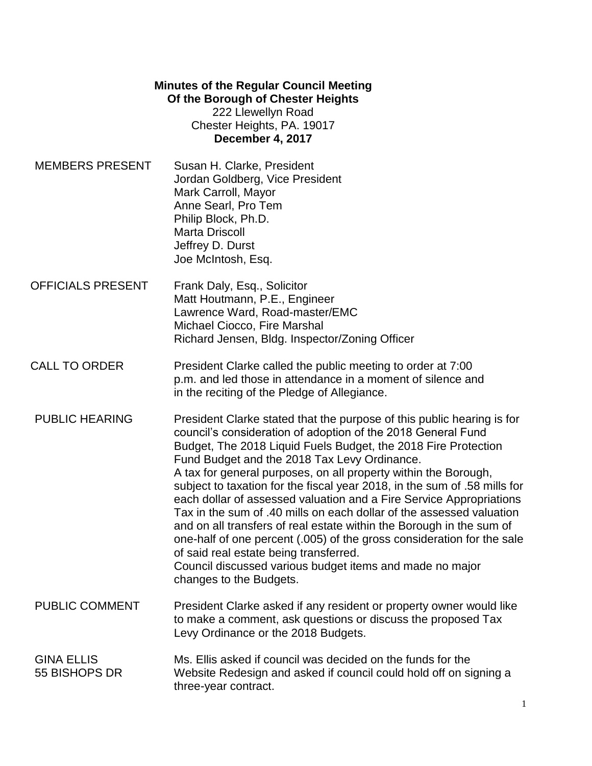## **Minutes of the Regular Council Meeting Of the Borough of Chester Heights** 222 Llewellyn Road Chester Heights, PA. 19017 **December 4, 2017**

- MEMBERS PRESENT Susan H. Clarke, President Jordan Goldberg, Vice President Mark Carroll, Mayor Anne Searl, Pro Tem Philip Block, Ph.D. Marta Driscoll Jeffrey D. Durst Joe McIntosh, Esq.
- OFFICIALS PRESENT Frank Daly, Esq., Solicitor Matt Houtmann, P.E., Engineer Lawrence Ward, Road-master/EMC Michael Ciocco, Fire Marshal Richard Jensen, Bldg. Inspector/Zoning Officer
- CALL TO ORDER **President Clarke called the public meeting to order at 7:00** p.m. and led those in attendance in a moment of silence and in the reciting of the Pledge of Allegiance.
- PUBLIC HEARING President Clarke stated that the purpose of this public hearing is for council's consideration of adoption of the 2018 General Fund Budget, The 2018 Liquid Fuels Budget, the 2018 Fire Protection Fund Budget and the 2018 Tax Levy Ordinance. A tax for general purposes, on all property within the Borough, subject to taxation for the fiscal year 2018, in the sum of .58 mills for each dollar of assessed valuation and a Fire Service Appropriations Tax in the sum of .40 mills on each dollar of the assessed valuation and on all transfers of real estate within the Borough in the sum of one-half of one percent (.005) of the gross consideration for the sale of said real estate being transferred. Council discussed various budget items and made no major changes to the Budgets.
- PUBLIC COMMENT President Clarke asked if any resident or property owner would like to make a comment, ask questions or discuss the proposed Tax Levy Ordinance or the 2018 Budgets.
- GINA ELLIS Ms. Ellis asked if council was decided on the funds for the 55 BISHOPS DR Website Redesign and asked if council could hold off on signing a three-year contract.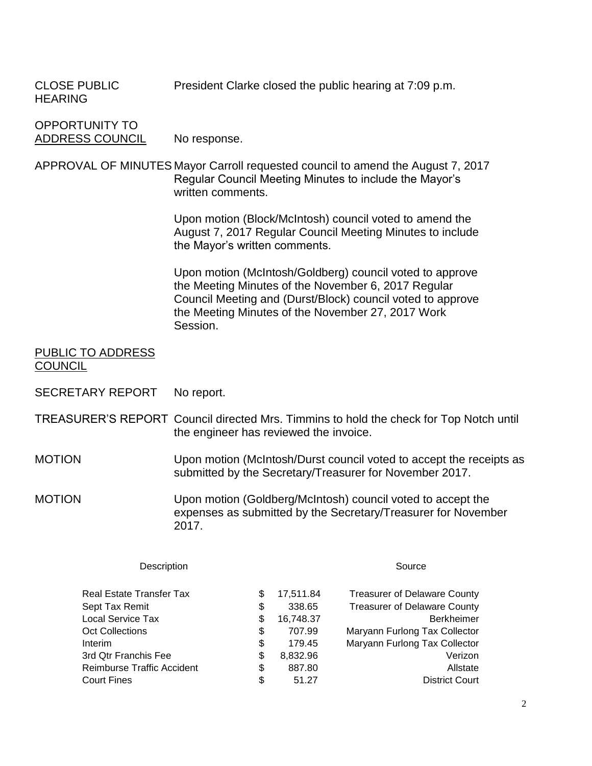| <b>CLOSE PUBLIC</b><br><b>HEARING</b>                                                                                                                                    |                                                                                                                                                                |                                                                            | President Clarke closed the public hearing at 7:09 p.m.                                                                                                                                                                            |  |
|--------------------------------------------------------------------------------------------------------------------------------------------------------------------------|----------------------------------------------------------------------------------------------------------------------------------------------------------------|----------------------------------------------------------------------------|------------------------------------------------------------------------------------------------------------------------------------------------------------------------------------------------------------------------------------|--|
| <b>OPPORTUNITY TO</b><br><b>ADDRESS COUNCIL</b>                                                                                                                          | No response.                                                                                                                                                   |                                                                            |                                                                                                                                                                                                                                    |  |
|                                                                                                                                                                          | APPROVAL OF MINUTES Mayor Carroll requested council to amend the August 7, 2017<br>Regular Council Meeting Minutes to include the Mayor's<br>written comments. |                                                                            |                                                                                                                                                                                                                                    |  |
|                                                                                                                                                                          | the Mayor's written comments.                                                                                                                                  |                                                                            | Upon motion (Block/McIntosh) council voted to amend the<br>August 7, 2017 Regular Council Meeting Minutes to include                                                                                                               |  |
|                                                                                                                                                                          | Session.                                                                                                                                                       |                                                                            | Upon motion (McIntosh/Goldberg) council voted to approve<br>the Meeting Minutes of the November 6, 2017 Regular<br>Council Meeting and (Durst/Block) council voted to approve<br>the Meeting Minutes of the November 27, 2017 Work |  |
| PUBLIC TO ADDRESS<br><b>COUNCIL</b>                                                                                                                                      |                                                                                                                                                                |                                                                            |                                                                                                                                                                                                                                    |  |
| <b>SECRETARY REPORT</b>                                                                                                                                                  | No report.                                                                                                                                                     |                                                                            |                                                                                                                                                                                                                                    |  |
|                                                                                                                                                                          | the engineer has reviewed the invoice.                                                                                                                         |                                                                            | TREASURER'S REPORT Council directed Mrs. Timmins to hold the check for Top Notch until                                                                                                                                             |  |
| <b>MOTION</b>                                                                                                                                                            | Upon motion (McIntosh/Durst council voted to accept the receipts as<br>submitted by the Secretary/Treasurer for November 2017.                                 |                                                                            |                                                                                                                                                                                                                                    |  |
| <b>MOTION</b>                                                                                                                                                            | 2017.                                                                                                                                                          |                                                                            | Upon motion (Goldberg/McIntosh) council voted to accept the<br>expenses as submitted by the Secretary/Treasurer for November                                                                                                       |  |
| Description                                                                                                                                                              |                                                                                                                                                                |                                                                            | Source                                                                                                                                                                                                                             |  |
| <b>Real Estate Transfer Tax</b><br>Sept Tax Remit<br>Local Service Tax<br><b>Oct Collections</b><br>Interim<br>3rd Qtr Franchis Fee<br><b>Reimburse Traffic Accident</b> | \$<br>\$<br>\$<br>\$<br>\$<br>\$<br>\$                                                                                                                         | 17,511.84<br>338.65<br>16,748.37<br>707.99<br>179.45<br>8,832.96<br>887.80 | <b>Treasurer of Delaware County</b><br><b>Treasurer of Delaware County</b><br>Berkheimer<br>Maryann Furlong Tax Collector<br>Maryann Furlong Tax Collector<br>Verizon<br>Allstate                                                  |  |
| <b>Court Fines</b>                                                                                                                                                       | \$                                                                                                                                                             | 51.27                                                                      | <b>District Court</b>                                                                                                                                                                                                              |  |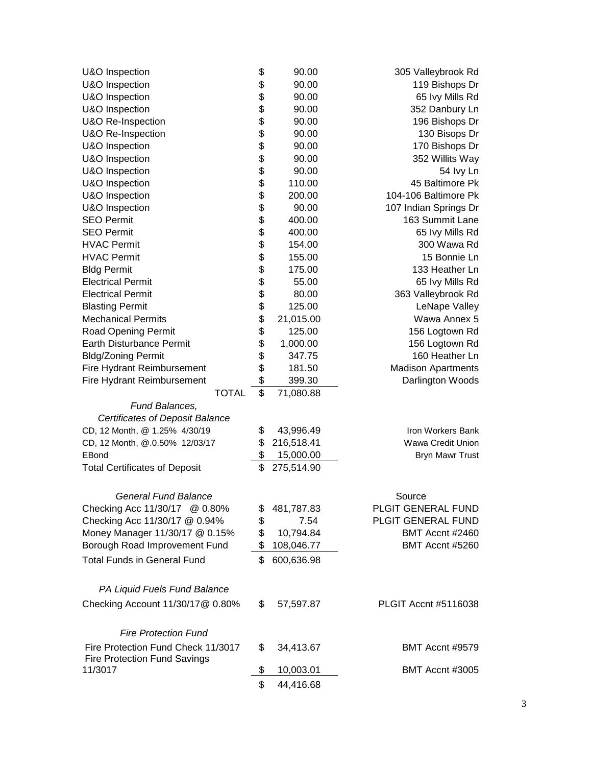| U&O Inspection                         | \$ | 90.00      | 305 Valleybrook Rd        |  |
|----------------------------------------|----|------------|---------------------------|--|
| U&O Inspection                         | \$ | 90.00      | 119 Bishops Dr            |  |
| U&O Inspection                         | \$ | 90.00      | 65 Ivy Mills Rd           |  |
| U&O Inspection                         | \$ | 90.00      | 352 Danbury Ln            |  |
| U&O Re-Inspection                      | \$ | 90.00      | 196 Bishops Dr            |  |
| U&O Re-Inspection                      | \$ | 90.00      | 130 Bisops Dr             |  |
| U&O Inspection                         | \$ | 90.00      | 170 Bishops Dr            |  |
| U&O Inspection                         | \$ | 90.00      | 352 Willits Way           |  |
| U&O Inspection                         | \$ | 90.00      | 54 lvy Ln                 |  |
| U&O Inspection                         | \$ | 110.00     | 45 Baltimore Pk           |  |
| U&O Inspection                         | \$ | 200.00     | 104-106 Baltimore Pk      |  |
| U&O Inspection                         | \$ | 90.00      | 107 Indian Springs Dr     |  |
| <b>SEO Permit</b>                      | \$ | 400.00     | 163 Summit Lane           |  |
| <b>SEO Permit</b>                      | \$ | 400.00     | 65 Ivy Mills Rd           |  |
| <b>HVAC Permit</b>                     | \$ | 154.00     | 300 Wawa Rd               |  |
| <b>HVAC Permit</b>                     | \$ | 155.00     | 15 Bonnie Ln              |  |
| <b>Bldg Permit</b>                     | \$ | 175.00     | 133 Heather Ln            |  |
| <b>Electrical Permit</b>               | \$ | 55.00      | 65 Ivy Mills Rd           |  |
| <b>Electrical Permit</b>               | \$ | 80.00      | 363 Valleybrook Rd        |  |
| <b>Blasting Permit</b>                 | \$ | 125.00     | LeNape Valley             |  |
| <b>Mechanical Permits</b>              | \$ | 21,015.00  | Wawa Annex 5              |  |
| Road Opening Permit                    | \$ | 125.00     | 156 Logtown Rd            |  |
| Earth Disturbance Permit               | \$ | 1,000.00   | 156 Logtown Rd            |  |
| <b>Bldg/Zoning Permit</b>              | \$ | 347.75     | 160 Heather Ln            |  |
| Fire Hydrant Reimbursement             | \$ | 181.50     | <b>Madison Apartments</b> |  |
| Fire Hydrant Reimbursement             | \$ | 399.30     | Darlington Woods          |  |
| <b>TOTAL</b>                           | \$ | 71,080.88  |                           |  |
| Fund Balances,                         |    |            |                           |  |
| <b>Certificates of Deposit Balance</b> |    |            |                           |  |
| CD, 12 Month, @ 1.25% 4/30/19          | \$ | 43,996.49  | Iron Workers Bank         |  |
| CD, 12 Month, @.0.50% 12/03/17         |    | 216,518.41 | Wawa Credit Union         |  |
| EBond                                  | \$ | 15,000.00  | <b>Bryn Mawr Trust</b>    |  |
| <b>Total Certificates of Deposit</b>   | \$ | 275,514.90 |                           |  |
|                                        |    |            |                           |  |
|                                        |    |            |                           |  |
| <b>General Fund Balance</b>            |    |            | Source                    |  |
| Checking Acc 11/30/17 @ 0.80%          |    | 481,787.83 | PLGIT GENERAL FUND        |  |
| Checking Acc 11/30/17 @ 0.94%          |    | 7.54       | PLGIT GENERAL FUND        |  |
| Money Manager 11/30/17 @ 0.15%         |    | 10,794.84  | BMT Accnt #2460           |  |
| Borough Road Improvement Fund          |    | 108,046.77 | BMT Accnt #5260           |  |
| <b>Total Funds in General Fund</b>     | \$ | 600,636.98 |                           |  |
|                                        |    |            |                           |  |
| PA Liquid Fuels Fund Balance           |    |            |                           |  |
| Checking Account 11/30/17@ 0.80%       | S. | 57,597.87  | PLGIT Accnt #5116038      |  |
|                                        |    |            |                           |  |
| <b>Fire Protection Fund</b>            |    |            |                           |  |
| Fire Protection Fund Check 11/3017     | \$ | 34,413.67  | BMT Accnt #9579           |  |
| <b>Fire Protection Fund Savings</b>    |    |            |                           |  |
| 11/3017                                | P. | 10,003.01  | BMT Accnt #3005           |  |
|                                        | \$ | 44,416.68  |                           |  |
|                                        |    |            |                           |  |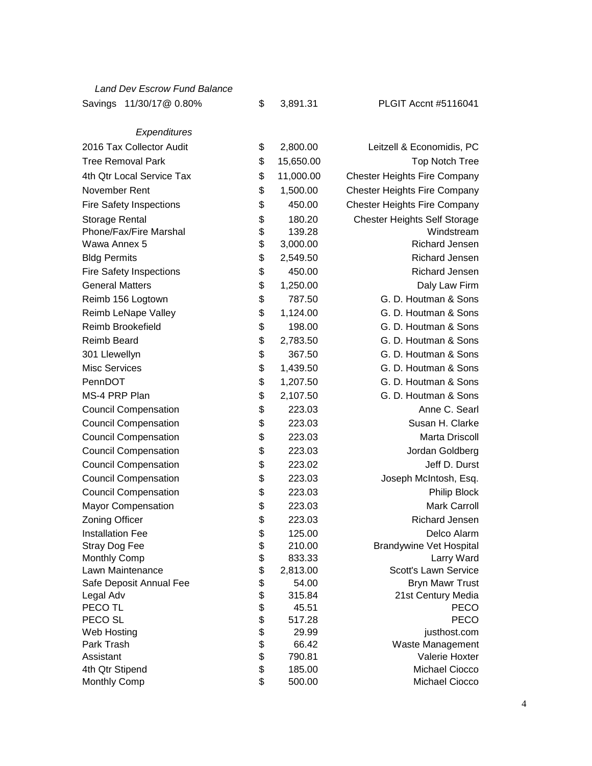| 11/30/17@ 0.80%<br>Savings     | \$           | 3,891.31  | PLGIT Accnt #5116041                |
|--------------------------------|--------------|-----------|-------------------------------------|
| Expenditures                   |              |           |                                     |
| 2016 Tax Collector Audit       | \$           | 2,800.00  | Leitzell & Economidis, PC           |
| <b>Tree Removal Park</b>       | \$           | 15,650.00 | <b>Top Notch Tree</b>               |
| 4th Qtr Local Service Tax      | \$           |           |                                     |
|                                |              | 11,000.00 | <b>Chester Heights Fire Company</b> |
| November Rent                  | \$           | 1,500.00  | <b>Chester Heights Fire Company</b> |
| <b>Fire Safety Inspections</b> | \$           | 450.00    | <b>Chester Heights Fire Company</b> |
| Storage Rental                 | \$           | 180.20    | <b>Chester Heights Self Storage</b> |
| Phone/Fax/Fire Marshal         | \$           | 139.28    | Windstream                          |
| Wawa Annex 5                   | \$           | 3,000.00  | Richard Jensen                      |
| <b>Bldg Permits</b>            | \$           | 2,549.50  | Richard Jensen                      |
| <b>Fire Safety Inspections</b> | \$           | 450.00    | Richard Jensen                      |
| <b>General Matters</b>         | \$           | 1,250.00  | Daly Law Firm                       |
| Reimb 156 Logtown              | \$           | 787.50    | G. D. Houtman & Sons                |
| Reimb LeNape Valley            | \$           | 1,124.00  | G. D. Houtman & Sons                |
| Reimb Brookefield              | \$           | 198.00    | G. D. Houtman & Sons                |
| <b>Reimb Beard</b>             | \$           | 2,783.50  | G. D. Houtman & Sons                |
| 301 Llewellyn                  | \$           | 367.50    | G. D. Houtman & Sons                |
| <b>Misc Services</b>           | \$           | 1,439.50  | G. D. Houtman & Sons                |
| PennDOT                        | \$           | 1,207.50  | G. D. Houtman & Sons                |
| MS-4 PRP Plan                  | \$           | 2,107.50  | G. D. Houtman & Sons                |
| <b>Council Compensation</b>    | \$           | 223.03    | Anne C. Searl                       |
| <b>Council Compensation</b>    | \$           | 223.03    | Susan H. Clarke                     |
| <b>Council Compensation</b>    | \$           | 223.03    | Marta Driscoll                      |
| <b>Council Compensation</b>    | \$           | 223.03    | Jordan Goldberg                     |
| <b>Council Compensation</b>    | \$           | 223.02    | Jeff D. Durst                       |
| <b>Council Compensation</b>    | \$           | 223.03    | Joseph McIntosh, Esq.               |
| <b>Council Compensation</b>    | \$           | 223.03    | Philip Block                        |
| <b>Mayor Compensation</b>      | \$           | 223.03    | <b>Mark Carroll</b>                 |
| <b>Zoning Officer</b>          | \$           | 223.03    | Richard Jensen                      |
| <b>Installation Fee</b>        | \$           | 125.00    | Delco Alarm                         |
| Stray Dog Fee                  | \$           | 210.00    | <b>Brandywine Vet Hospital</b>      |
| <b>Monthly Comp</b>            | \$           | 833.33    | Larry Ward                          |
| Lawn Maintenance               | \$           | 2,813.00  | Scott's Lawn Service                |
| Safe Deposit Annual Fee        | \$           | 54.00     | <b>Bryn Mawr Trust</b>              |
| Legal Adv                      |              | 315.84    | 21st Century Media                  |
| PECO TL                        |              | 45.51     | <b>PECO</b>                         |
| PECO <sub>SL</sub>             |              | 517.28    | PECO                                |
| Web Hosting                    |              | 29.99     | justhost.com                        |
| Park Trash                     | \$\$\$\$\$\$ | 66.42     | Waste Management                    |
| Assistant                      |              | 790.81    | Valerie Hoxter                      |
| 4th Qtr Stipend                | \$           | 185.00    | Michael Ciocco                      |
| Monthly Comp                   | \$           | 500.00    | Michael Ciocco                      |

*Land Dev Escrow Fund Balance*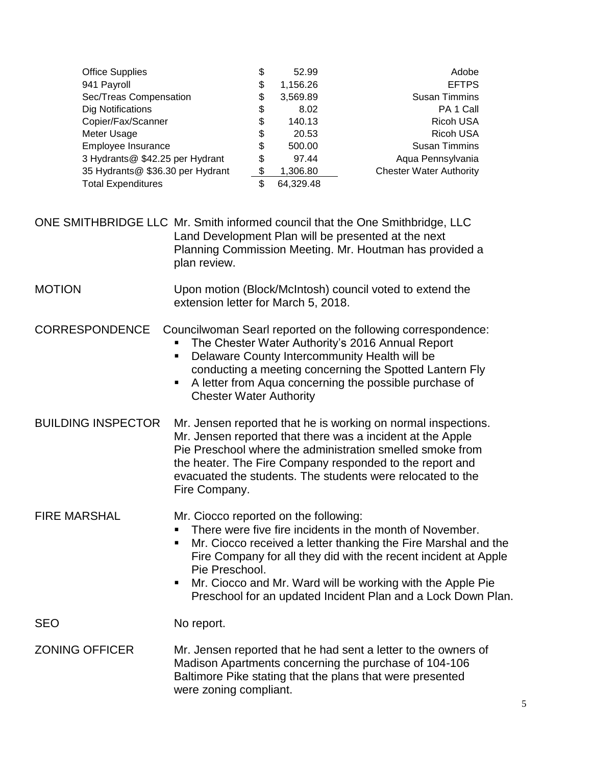| <b>Office Supplies</b>           | \$<br>52.99     | Adobe                          |
|----------------------------------|-----------------|--------------------------------|
| 941 Payroll                      | \$<br>1,156.26  | <b>EFTPS</b>                   |
| Sec/Treas Compensation           | \$<br>3,569.89  | <b>Susan Timmins</b>           |
| Dig Notifications                | \$<br>8.02      | PA 1 Call                      |
| Copier/Fax/Scanner               | \$<br>140.13    | <b>Ricoh USA</b>               |
| Meter Usage                      | \$<br>20.53     | <b>Ricoh USA</b>               |
| Employee Insurance               | \$<br>500.00    | <b>Susan Timmins</b>           |
| 3 Hydrants@ \$42.25 per Hydrant  | \$<br>97.44     | Aqua Pennsylvania              |
| 35 Hydrants@ \$36.30 per Hydrant | \$<br>1,306.80  | <b>Chester Water Authority</b> |
| <b>Total Expenditures</b>        | \$<br>64,329.48 |                                |

ONE SMITHBRIDGE LLC Mr. Smith informed council that the One Smithbridge, LLC Land Development Plan will be presented at the next Planning Commission Meeting. Mr. Houtman has provided a plan review.

MOTION Upon motion (Block/McIntosh) council voted to extend the extension letter for March 5, 2018.

CORRESPONDENCE Councilwoman Searl reported on the following correspondence:

- The Chester Water Authority's 2016 Annual Report
- Delaware County Intercommunity Health will be conducting a meeting concerning the Spotted Lantern Fly
- A letter from Aqua concerning the possible purchase of Chester Water Authority
- BUILDING INSPECTOR Mr. Jensen reported that he is working on normal inspections. Mr. Jensen reported that there was a incident at the Apple Pie Preschool where the administration smelled smoke from the heater. The Fire Company responded to the report and evacuated the students. The students were relocated to the Fire Company.

FIRE MARSHAL Mr. Ciocco reported on the following:

- There were five fire incidents in the month of November.
- Mr. Ciocco received a letter thanking the Fire Marshal and the Fire Company for all they did with the recent incident at Apple Pie Preschool.
- Mr. Ciocco and Mr. Ward will be working with the Apple Pie Preschool for an updated Incident Plan and a Lock Down Plan.

SEO No report.

ZONING OFFICER Mr. Jensen reported that he had sent a letter to the owners of Madison Apartments concerning the purchase of 104-106 Baltimore Pike stating that the plans that were presented were zoning compliant.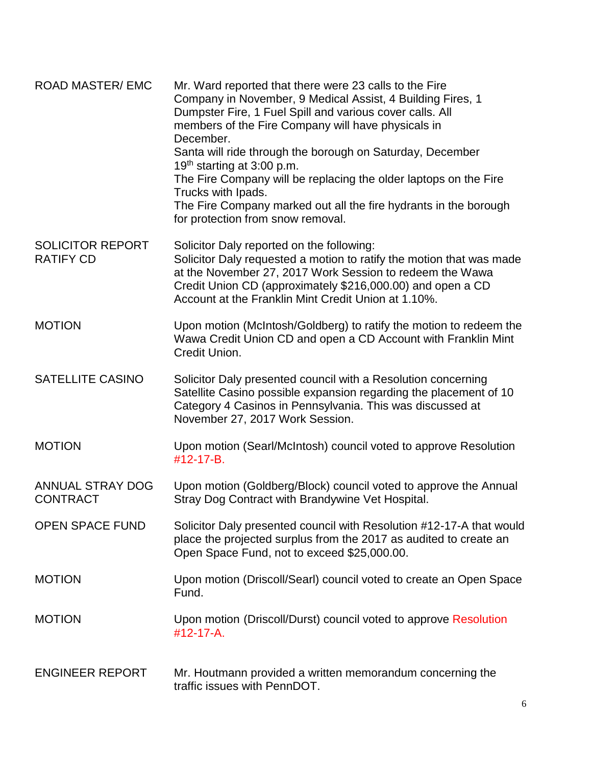| <b>ROAD MASTER/ EMC</b>                     | Mr. Ward reported that there were 23 calls to the Fire<br>Company in November, 9 Medical Assist, 4 Building Fires, 1<br>Dumpster Fire, 1 Fuel Spill and various cover calls. All<br>members of the Fire Company will have physicals in<br>December.<br>Santa will ride through the borough on Saturday, December<br>19 <sup>th</sup> starting at 3:00 p.m.<br>The Fire Company will be replacing the older laptops on the Fire |
|---------------------------------------------|--------------------------------------------------------------------------------------------------------------------------------------------------------------------------------------------------------------------------------------------------------------------------------------------------------------------------------------------------------------------------------------------------------------------------------|
|                                             | Trucks with Ipads.<br>The Fire Company marked out all the fire hydrants in the borough<br>for protection from snow removal.                                                                                                                                                                                                                                                                                                    |
| <b>SOLICITOR REPORT</b><br><b>RATIFY CD</b> | Solicitor Daly reported on the following:<br>Solicitor Daly requested a motion to ratify the motion that was made<br>at the November 27, 2017 Work Session to redeem the Wawa<br>Credit Union CD (approximately \$216,000.00) and open a CD<br>Account at the Franklin Mint Credit Union at 1.10%.                                                                                                                             |
| <b>MOTION</b>                               | Upon motion (McIntosh/Goldberg) to ratify the motion to redeem the<br>Wawa Credit Union CD and open a CD Account with Franklin Mint<br>Credit Union.                                                                                                                                                                                                                                                                           |
| <b>SATELLITE CASINO</b>                     | Solicitor Daly presented council with a Resolution concerning<br>Satellite Casino possible expansion regarding the placement of 10<br>Category 4 Casinos in Pennsylvania. This was discussed at<br>November 27, 2017 Work Session.                                                                                                                                                                                             |
| <b>MOTION</b>                               | Upon motion (Searl/McIntosh) council voted to approve Resolution<br>#12-17-B.                                                                                                                                                                                                                                                                                                                                                  |
| <b>ANNUAL STRAY DOG</b><br><b>CONTRACT</b>  | Upon motion (Goldberg/Block) council voted to approve the Annual<br>Stray Dog Contract with Brandywine Vet Hospital.                                                                                                                                                                                                                                                                                                           |
| <b>OPEN SPACE FUND</b>                      | Solicitor Daly presented council with Resolution #12-17-A that would<br>place the projected surplus from the 2017 as audited to create an<br>Open Space Fund, not to exceed \$25,000.00.                                                                                                                                                                                                                                       |
| <b>MOTION</b>                               | Upon motion (Driscoll/Searl) council voted to create an Open Space<br>Fund.                                                                                                                                                                                                                                                                                                                                                    |
| <b>MOTION</b>                               | Upon motion (Driscoll/Durst) council voted to approve Resolution<br>$\#$ 12-17-A.                                                                                                                                                                                                                                                                                                                                              |
| <b>ENGINEER REPORT</b>                      | Mr. Houtmann provided a written memorandum concerning the<br>traffic issues with PennDOT.                                                                                                                                                                                                                                                                                                                                      |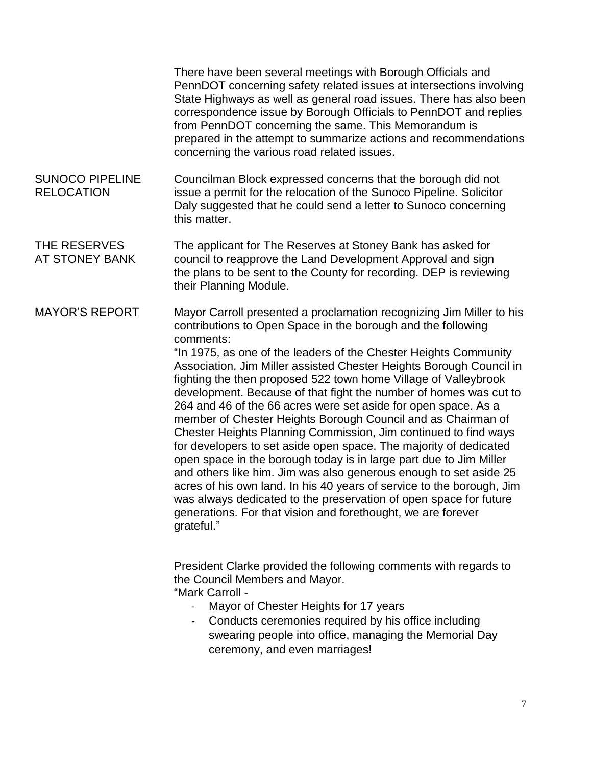There have been several meetings with Borough Officials and PennDOT concerning safety related issues at intersections involving State Highways as well as general road issues. There has also been correspondence issue by Borough Officials to PennDOT and replies from PennDOT concerning the same. This Memorandum is prepared in the attempt to summarize actions and recommendations concerning the various road related issues. SUNOCO PIPELINE Councilman Block expressed concerns that the borough did not RELOCATION issue a permit for the relocation of the Sunoco Pipeline. Solicitor Daly suggested that he could send a letter to Sunoco concerning this matter. THE RESERVES The applicant for The Reserves at Stoney Bank has asked for AT STONEY BANK council to reapprove the Land Development Approval and sign the plans to be sent to the County for recording. DEP is reviewing their Planning Module.

MAYOR'S REPORT Mayor Carroll presented a proclamation recognizing Jim Miller to his contributions to Open Space in the borough and the following comments:

"In 1975, as one of the leaders of the Chester Heights Community Association, Jim Miller assisted Chester Heights Borough Council in fighting the then proposed 522 town home Village of Valleybrook development. Because of that fight the number of homes was cut to 264 and 46 of the 66 acres were set aside for open space. As a member of Chester Heights Borough Council and as Chairman of Chester Heights Planning Commission, Jim continued to find ways for developers to set aside open space. The majority of dedicated open space in the borough today is in large part due to Jim Miller and others like him. Jim was also generous enough to set aside 25 acres of his own land. In his 40 years of service to the borough, Jim was always dedicated to the preservation of open space for future generations. For that vision and forethought, we are forever grateful."

President Clarke provided the following comments with regards to the Council Members and Mayor. "Mark Carroll -

- Mayor of Chester Heights for 17 years
- Conducts ceremonies required by his office including swearing people into office, managing the Memorial Day ceremony, and even marriages!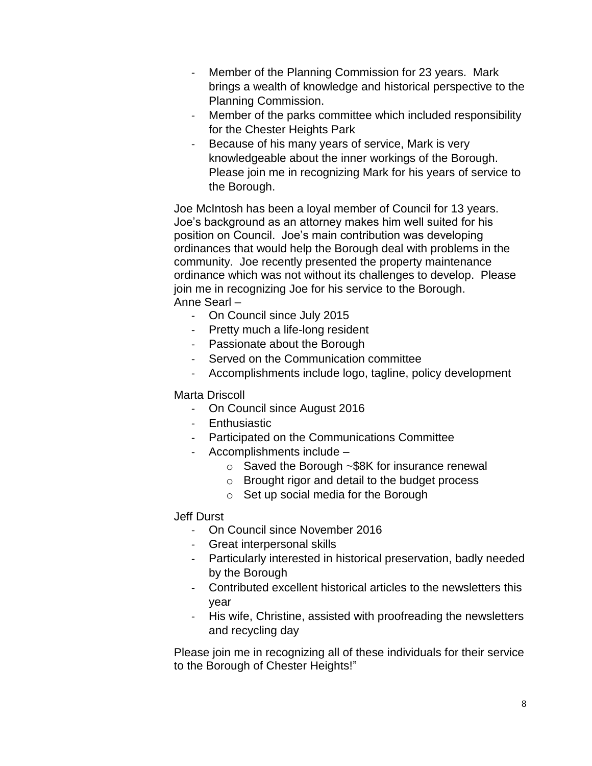- Member of the Planning Commission for 23 years. Mark brings a wealth of knowledge and historical perspective to the Planning Commission.
- Member of the parks committee which included responsibility for the Chester Heights Park
- Because of his many years of service, Mark is very knowledgeable about the inner workings of the Borough. Please join me in recognizing Mark for his years of service to the Borough.

Joe McIntosh has been a loyal member of Council for 13 years. Joe's background as an attorney makes him well suited for his position on Council. Joe's main contribution was developing ordinances that would help the Borough deal with problems in the community. Joe recently presented the property maintenance ordinance which was not without its challenges to develop. Please join me in recognizing Joe for his service to the Borough. Anne Searl –

- On Council since July 2015
- Pretty much a life-long resident
- Passionate about the Borough
- Served on the Communication committee
- Accomplishments include logo, tagline, policy development

## Marta Driscoll

- On Council since August 2016
- Enthusiastic
- Participated on the Communications Committee
- Accomplishments include
	- o Saved the Borough ~\$8K for insurance renewal
	- o Brought rigor and detail to the budget process
	- o Set up social media for the Borough

## Jeff Durst

- On Council since November 2016
- Great interpersonal skills
- Particularly interested in historical preservation, badly needed by the Borough
- Contributed excellent historical articles to the newsletters this year
- His wife, Christine, assisted with proofreading the newsletters and recycling day

Please join me in recognizing all of these individuals for their service to the Borough of Chester Heights!"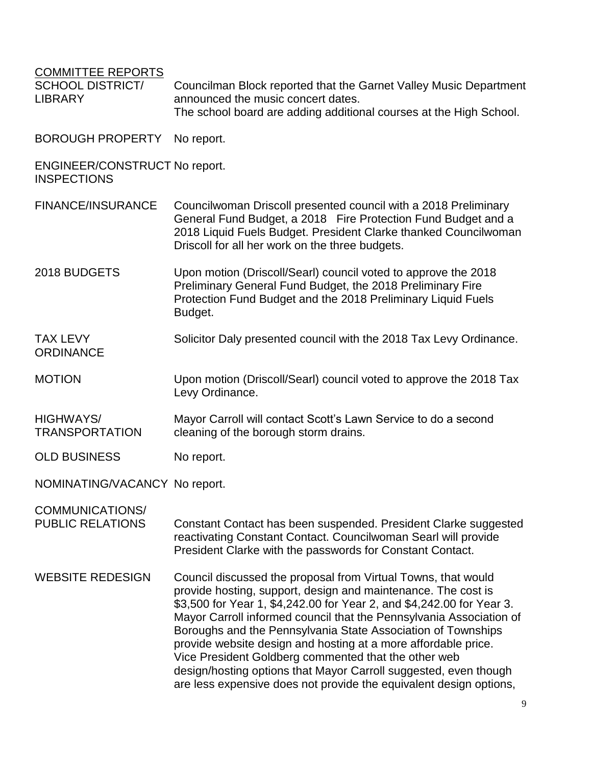| <b>COMMITTEE REPORTS</b><br><b>SCHOOL DISTRICT/</b><br><b>LIBRARY</b> | Councilman Block reported that the Garnet Valley Music Department<br>announced the music concert dates.<br>The school board are adding additional courses at the High School.                                                                                                                                                                                                                                                                                                                                                                                                                                      |
|-----------------------------------------------------------------------|--------------------------------------------------------------------------------------------------------------------------------------------------------------------------------------------------------------------------------------------------------------------------------------------------------------------------------------------------------------------------------------------------------------------------------------------------------------------------------------------------------------------------------------------------------------------------------------------------------------------|
| <b>BOROUGH PROPERTY</b>                                               | No report.                                                                                                                                                                                                                                                                                                                                                                                                                                                                                                                                                                                                         |
| <b>ENGINEER/CONSTRUCT No report.</b><br><b>INSPECTIONS</b>            |                                                                                                                                                                                                                                                                                                                                                                                                                                                                                                                                                                                                                    |
| <b>FINANCE/INSURANCE</b>                                              | Councilwoman Driscoll presented council with a 2018 Preliminary<br>General Fund Budget, a 2018 Fire Protection Fund Budget and a<br>2018 Liquid Fuels Budget. President Clarke thanked Councilwoman<br>Driscoll for all her work on the three budgets.                                                                                                                                                                                                                                                                                                                                                             |
| 2018 BUDGETS                                                          | Upon motion (Driscoll/Searl) council voted to approve the 2018<br>Preliminary General Fund Budget, the 2018 Preliminary Fire<br>Protection Fund Budget and the 2018 Preliminary Liquid Fuels<br>Budget.                                                                                                                                                                                                                                                                                                                                                                                                            |
| <b>TAX LEVY</b><br><b>ORDINANCE</b>                                   | Solicitor Daly presented council with the 2018 Tax Levy Ordinance.                                                                                                                                                                                                                                                                                                                                                                                                                                                                                                                                                 |
| <b>MOTION</b>                                                         | Upon motion (Driscoll/Searl) council voted to approve the 2018 Tax<br>Levy Ordinance.                                                                                                                                                                                                                                                                                                                                                                                                                                                                                                                              |
| <b>HIGHWAYS/</b><br><b>TRANSPORTATION</b>                             | Mayor Carroll will contact Scott's Lawn Service to do a second<br>cleaning of the borough storm drains.                                                                                                                                                                                                                                                                                                                                                                                                                                                                                                            |
| <b>OLD BUSINESS</b>                                                   | No report.                                                                                                                                                                                                                                                                                                                                                                                                                                                                                                                                                                                                         |
| NOMINATING/VACANCY No report.                                         |                                                                                                                                                                                                                                                                                                                                                                                                                                                                                                                                                                                                                    |
| <b>COMMUNICATIONS/</b><br><b>PUBLIC RELATIONS</b>                     | Constant Contact has been suspended. President Clarke suggested<br>reactivating Constant Contact. Councilwoman Searl will provide<br>President Clarke with the passwords for Constant Contact.                                                                                                                                                                                                                                                                                                                                                                                                                     |
| <b>WEBSITE REDESIGN</b>                                               | Council discussed the proposal from Virtual Towns, that would<br>provide hosting, support, design and maintenance. The cost is<br>\$3,500 for Year 1, \$4,242.00 for Year 2, and \$4,242.00 for Year 3.<br>Mayor Carroll informed council that the Pennsylvania Association of<br>Boroughs and the Pennsylvania State Association of Townships<br>provide website design and hosting at a more affordable price.<br>Vice President Goldberg commented that the other web<br>design/hosting options that Mayor Carroll suggested, even though<br>are less expensive does not provide the equivalent design options, |